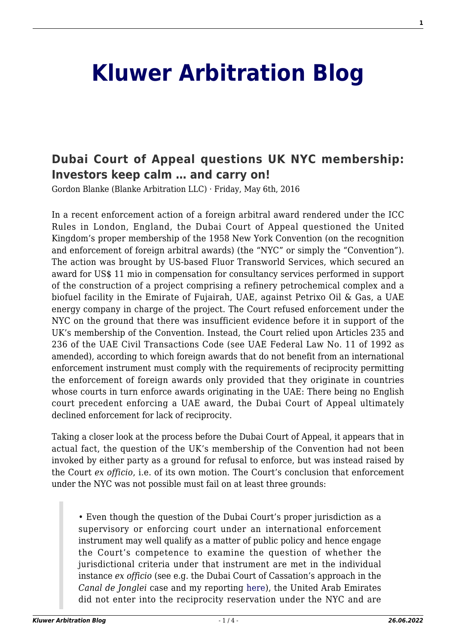## **[Kluwer Arbitration Blog](http://arbitrationblog.kluwerarbitration.com/)**

## **[Dubai Court of Appeal questions UK NYC membership:](http://arbitrationblog.kluwerarbitration.com/2016/05/06/dubai-court-of-appeal-questions-uk-nyc-membership-investors-keep-calm-and-carry-on/) [Investors keep calm … and carry on!](http://arbitrationblog.kluwerarbitration.com/2016/05/06/dubai-court-of-appeal-questions-uk-nyc-membership-investors-keep-calm-and-carry-on/)**

Gordon Blanke (Blanke Arbitration LLC) · Friday, May 6th, 2016

In a recent enforcement action of a foreign arbitral award rendered under the ICC Rules in London, England, the Dubai Court of Appeal questioned the United Kingdom's proper membership of the 1958 New York Convention (on the recognition and enforcement of foreign arbitral awards) (the "NYC" or simply the "Convention"). The action was brought by US-based Fluor Transworld Services, which secured an award for US\$ 11 mio in compensation for consultancy services performed in support of the construction of a project comprising a refinery petrochemical complex and a biofuel facility in the Emirate of Fujairah, UAE, against Petrixo Oil & Gas, a UAE energy company in charge of the project. The Court refused enforcement under the NYC on the ground that there was insufficient evidence before it in support of the UK's membership of the Convention. Instead, the Court relied upon Articles 235 and 236 of the UAE Civil Transactions Code (see UAE Federal Law No. 11 of 1992 as amended), according to which foreign awards that do not benefit from an international enforcement instrument must comply with the requirements of reciprocity permitting the enforcement of foreign awards only provided that they originate in countries whose courts in turn enforce awards originating in the UAE: There being no English court precedent enforcing a UAE award, the Dubai Court of Appeal ultimately declined enforcement for lack of reciprocity.

Taking a closer look at the process before the Dubai Court of Appeal, it appears that in actual fact, the question of the UK's membership of the Convention had not been invoked by either party as a ground for refusal to enforce, but was instead raised by the Court *ex officio*, i.e. of its own motion. The Court's conclusion that enforcement under the NYC was not possible must fail on at least three grounds:

• Even though the question of the Dubai Court's proper jurisdiction as a supervisory or enforcing court under an international enforcement instrument may well qualify as a matter of public policy and hence engage the Court's competence to examine the question of whether the jurisdictional criteria under that instrument are met in the individual instance *ex officio* (see e.g. the Dubai Court of Cassation's approach in the *Canal de Jonglei* case and my reporting [here](http://kluwerarbitrationblog.com/2013/10/21/recent-ruling-of-dubai-court-of-cassation-on-enforcement-of-foreign-arbitral-awards-back-to-square-one-it-is/)), the United Arab Emirates did not enter into the reciprocity reservation under the NYC and are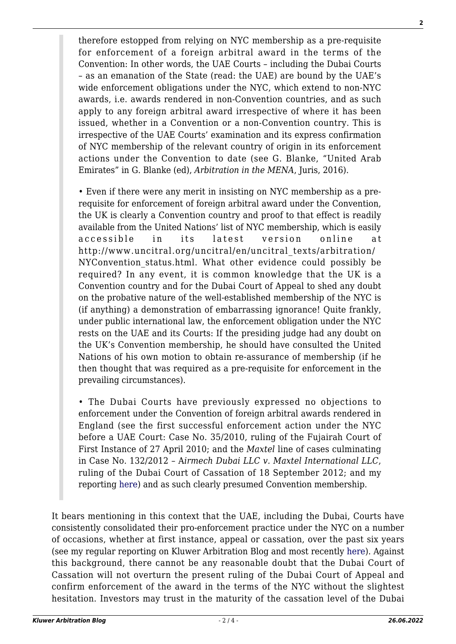therefore estopped from relying on NYC membership as a pre-requisite for enforcement of a foreign arbitral award in the terms of the Convention: In other words, the UAE Courts – including the Dubai Courts – as an emanation of the State (read: the UAE) are bound by the UAE's wide enforcement obligations under the NYC, which extend to non-NYC awards, i.e. awards rendered in non-Convention countries, and as such apply to any foreign arbitral award irrespective of where it has been issued, whether in a Convention or a non-Convention country. This is irrespective of the UAE Courts' examination and its express confirmation of NYC membership of the relevant country of origin in its enforcement actions under the Convention to date (see G. Blanke, "United Arab Emirates" in G. Blanke (ed), *Arbitration in the MENA*, Juris, 2016).

• Even if there were any merit in insisting on NYC membership as a prerequisite for enforcement of foreign arbitral award under the Convention, the UK is clearly a Convention country and proof to that effect is readily available from the United Nations' list of NYC membership, which is easily accessible in its latest version online at http://www.uncitral.org/uncitral/en/uncitral\_texts/arbitration/ NYConvention status.html. What other evidence could possibly be required? In any event, it is common knowledge that the UK is a Convention country and for the Dubai Court of Appeal to shed any doubt on the probative nature of the well-established membership of the NYC is (if anything) a demonstration of embarrassing ignorance! Quite frankly, under public international law, the enforcement obligation under the NYC rests on the UAE and its Courts: If the presiding judge had any doubt on the UK's Convention membership, he should have consulted the United Nations of his own motion to obtain re-assurance of membership (if he then thought that was required as a pre-requisite for enforcement in the prevailing circumstances).

• The Dubai Courts have previously expressed no objections to enforcement under the Convention of foreign arbitral awards rendered in England (see the first successful enforcement action under the NYC before a UAE Court: Case No. 35/2010, ruling of the Fujairah Court of First Instance of 27 April 2010; and the *Maxtel* line of cases culminating in Case No. 132/2012 – A*irmech Dubai LLC v. Maxtel International LLC*, ruling of the Dubai Court of Cassation of 18 September 2012; and my reporting [here\)](http://kluwerarbitrationblog.com/2012/11/21/dubai-court-of-cassation-confirms-enforcement-of-foreign-awards-under-new-york-convention-the-end-of-a-beginning-inshallah/) and as such clearly presumed Convention membership.

It bears mentioning in this context that the UAE, including the Dubai, Courts have consistently consolidated their pro-enforcement practice under the NYC on a number of occasions, whether at first instance, appeal or cassation, over the past six years (see my regular reporting on Kluwer Arbitration Blog and most recently [here](http://kluwerarbitrationblog.com/2015/04/14/dubai-court-of-cassation-further-consolidates-pro-nyc-enforcement-practice/)). Against this background, there cannot be any reasonable doubt that the Dubai Court of Cassation will not overturn the present ruling of the Dubai Court of Appeal and confirm enforcement of the award in the terms of the NYC without the slightest hesitation. Investors may trust in the maturity of the cassation level of the Dubai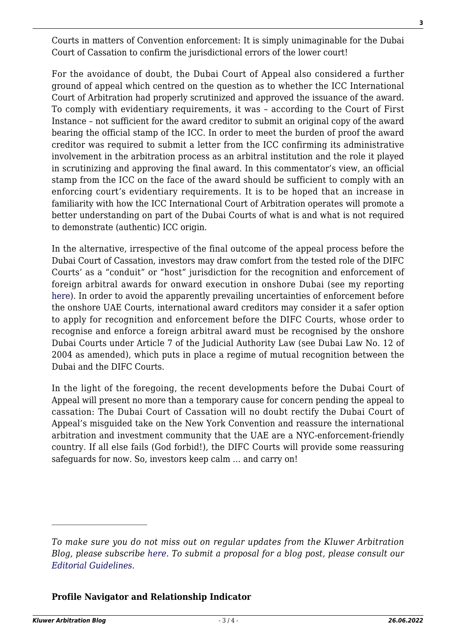Courts in matters of Convention enforcement: It is simply unimaginable for the Dubai Court of Cassation to confirm the jurisdictional errors of the lower court!

For the avoidance of doubt, the Dubai Court of Appeal also considered a further ground of appeal which centred on the question as to whether the ICC International Court of Arbitration had properly scrutinized and approved the issuance of the award. To comply with evidentiary requirements, it was – according to the Court of First Instance – not sufficient for the award creditor to submit an original copy of the award bearing the official stamp of the ICC. In order to meet the burden of proof the award creditor was required to submit a letter from the ICC confirming its administrative involvement in the arbitration process as an arbitral institution and the role it played in scrutinizing and approving the final award. In this commentator's view, an official stamp from the ICC on the face of the award should be sufficient to comply with an enforcing court's evidentiary requirements. It is to be hoped that an increase in familiarity with how the ICC International Court of Arbitration operates will promote a better understanding on part of the Dubai Courts of what is and what is not required to demonstrate (authentic) ICC origin.

In the alternative, irrespective of the final outcome of the appeal process before the Dubai Court of Cassation, investors may draw comfort from the tested role of the DIFC Courts' as a "conduit" or "host" jurisdiction for the recognition and enforcement of foreign arbitral awards for onward execution in onshore Dubai (see my reporting [here\)](http://kluwerarbitrationblog.com/2014/06/07/difc-court-of-first-instance-confirms-its-status-as-host-jurisdiction-for-recognition-of-both-domestic-and-foreign-awards/). In order to avoid the apparently prevailing uncertainties of enforcement before the onshore UAE Courts, international award creditors may consider it a safer option to apply for recognition and enforcement before the DIFC Courts, whose order to recognise and enforce a foreign arbitral award must be recognised by the onshore Dubai Courts under Article 7 of the Judicial Authority Law (see Dubai Law No. 12 of 2004 as amended), which puts in place a regime of mutual recognition between the Dubai and the DIFC Courts.

In the light of the foregoing, the recent developments before the Dubai Court of Appeal will present no more than a temporary cause for concern pending the appeal to cassation: The Dubai Court of Cassation will no doubt rectify the Dubai Court of Appeal's misguided take on the New York Convention and reassure the international arbitration and investment community that the UAE are a NYC-enforcement-friendly country. If all else fails (God forbid!), the DIFC Courts will provide some reassuring safeguards for now. So, investors keep calm … and carry on!

## **Profile Navigator and Relationship Indicator**

*To make sure you do not miss out on regular updates from the Kluwer Arbitration Blog, please subscribe [here](http://arbitrationblog.kluwerarbitration.com/newsletter/). To submit a proposal for a blog post, please consult our [Editorial Guidelines.](http://arbitrationblog.kluwerarbitration.com/editorial-guidelines/)*